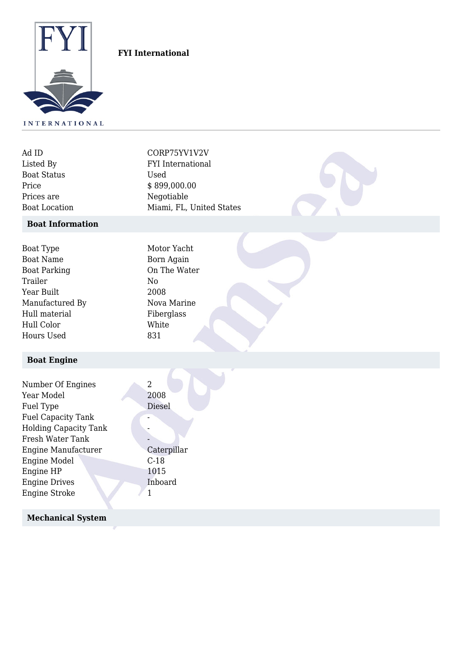

## **FYI International**

| Ad ID                | CORP75YV1V2V             |
|----------------------|--------------------------|
| Listed By            | <b>FYI</b> International |
| <b>Boat Status</b>   | Used                     |
| Price                | \$899,000.00             |
| Prices are           | Negotiable               |
| <b>Boat Location</b> | Miami, FL, United States |

### **Boat Information**

| Boat Type           | Motor Yacht  |
|---------------------|--------------|
| <b>Boat Name</b>    | Born Again   |
| <b>Boat Parking</b> | On The Water |
| Trailer             | No           |
| Year Built          | 2008         |
| Manufactured By     | Nova Marine  |
| Hull material       | Fiberglass   |
| Hull Color          | White        |
| Hours Used          | 831          |
|                     |              |

# **Boat Engine**

| Number Of Engines            | 2           |
|------------------------------|-------------|
|                              |             |
| Year Model                   | 2008        |
| Fuel Type                    | Diesel      |
| <b>Fuel Capacity Tank</b>    |             |
| <b>Holding Capacity Tank</b> |             |
| Fresh Water Tank             |             |
| <b>Engine Manufacturer</b>   | Caterpillar |
| <b>Engine Model</b>          | $C-18$      |
| Engine HP                    | 1015        |
| <b>Engine Drives</b>         | Inboard     |
| <b>Engine Stroke</b>         |             |

## **Mechanical System**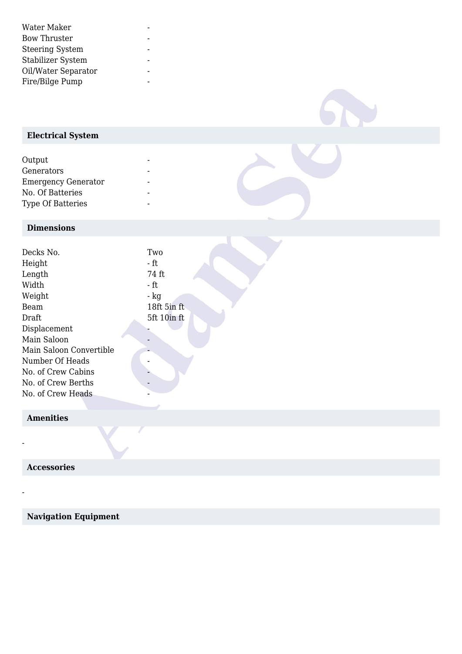| Water Maker            |  |
|------------------------|--|
| <b>Bow Thruster</b>    |  |
| <b>Steering System</b> |  |
| Stabilizer System      |  |
| Oil/Water Separator    |  |
| Fire/Bilge Pump        |  |

# **Electrical System**

| Output                     |  |
|----------------------------|--|
| Generators                 |  |
| <b>Emergency Generator</b> |  |
| No. Of Batteries           |  |
| <b>Type Of Batteries</b>   |  |

### **Dimensions**

| Decks No.               | Two         |
|-------------------------|-------------|
| Height                  | - ft        |
| Length                  | 74 ft       |
| Width                   | - ft        |
| Weight                  | $-$ kg      |
| Beam                    | 18ft 5in ft |
| Draft                   | 5ft 10in ft |
| Displacement            |             |
| Main Saloon             |             |
| Main Saloon Convertible |             |
| Number Of Heads         |             |
| No. of Crew Cabins      |             |
| No. of Crew Berths      |             |
| No. of Crew Heads       |             |
|                         |             |

## **Amenities**

-

-

 **Accessories**

 **Navigation Equipment**